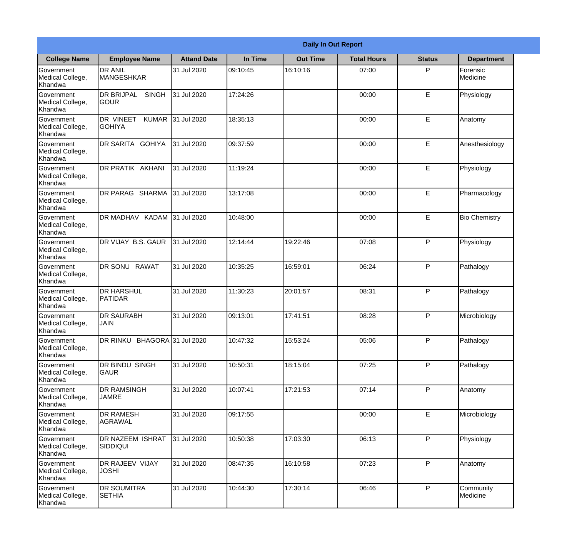|                                           |                                                  |                    |          | <b>Daily In Out Report</b> |                    |               |                       |
|-------------------------------------------|--------------------------------------------------|--------------------|----------|----------------------------|--------------------|---------------|-----------------------|
| <b>College Name</b>                       | <b>Employee Name</b>                             | <b>Attand Date</b> | In Time  | <b>Out Time</b>            | <b>Total Hours</b> | <b>Status</b> | <b>Department</b>     |
| Government<br>Medical College,<br>Khandwa | <b>DR ANIL</b><br><b>MANGESHKAR</b>              | 31 Jul 2020        | 09:10:45 | 16:10:16                   | 07:00              | P             | Forensic<br>Medicine  |
| Government<br>Medical College,<br>Khandwa | <b>DR BRIJPAL</b><br><b>SINGH</b><br><b>GOUR</b> | 31 Jul 2020        | 17:24:26 |                            | 00:00              | E             | Physiology            |
| Government<br>Medical College,<br>Khandwa | DR VINEET<br><b>KUMAR</b><br><b>GOHIYA</b>       | 31 Jul 2020        | 18:35:13 |                            | 00:00              | E             | Anatomy               |
| Government<br>Medical College,<br>Khandwa | DR SARITA GOHIYA                                 | 31 Jul 2020        | 09:37:59 |                            | 00:00              | E             | Anesthesiology        |
| Government<br>Medical College,<br>Khandwa | DR PRATIK AKHANI                                 | 31 Jul 2020        | 11:19:24 |                            | 00:00              | E             | Physiology            |
| Government<br>Medical College,<br>Khandwa | DR PARAG SHARMA                                  | 31 Jul 2020        | 13:17:08 |                            | 00:00              | E             | Pharmacology          |
| Government<br>Medical College,<br>Khandwa | DR MADHAV KADAM 31 Jul 2020                      |                    | 10:48:00 |                            | 00:00              | E             | <b>Bio Chemistry</b>  |
| Government<br>Medical College,<br>Khandwa | DR VIJAY B.S. GAUR                               | 31 Jul 2020        | 12:14:44 | 19:22:46                   | 07:08              | P             | Physiology            |
| Government<br>Medical College,<br>Khandwa | <b>DR SONU RAWAT</b>                             | 31 Jul 2020        | 10:35:25 | 16:59:01                   | 06:24              | P             | Pathalogy             |
| Government<br>Medical College,<br>Khandwa | <b>DR HARSHUL</b><br><b>PATIDAR</b>              | 31 Jul 2020        | 11:30:23 | 20:01:57                   | 08:31              | P             | Pathalogy             |
| Government<br>Medical College,<br>Khandwa | <b>DR SAURABH</b><br><b>JAIN</b>                 | 31 Jul 2020        | 09:13:01 | 17:41:51                   | 08:28              | $\mathsf{P}$  | Microbiology          |
| Government<br>Medical College,<br>Khandwa | DR RINKU BHAGORA 31 Jul 2020                     |                    | 10:47:32 | 15:53:24                   | 05:06              | P             | Pathalogy             |
| Government<br>Medical College,<br>Khandwa | DR BINDU SINGH<br><b>GAUR</b>                    | 31 Jul 2020        | 10:50:31 | 18:15:04                   | 07:25              | P             | Pathalogy             |
| Government<br>Medical College,<br>Khandwa | DR RAMSINGH<br><b>JAMRE</b>                      | 31 Jul 2020        | 10:07:41 | 17:21:53                   | 07:14              | P             | Anatomy               |
| Government<br>Medical College,<br>Khandwa | <b>DR RAMESH</b><br><b>AGRAWAL</b>               | 31 Jul 2020        | 09:17:55 |                            | 00:00              | E             | Microbiology          |
| Government<br>Medical College,<br>Khandwa | DR NAZEEM ISHRAT<br>SIDDIQUI                     | 31 Jul 2020        | 10:50:38 | 17:03:30                   | 06:13              | P             | Physiology            |
| Government<br>Medical College,<br>Khandwa | DR RAJEEV VIJAY<br><b>JOSHI</b>                  | 31 Jul 2020        | 08:47:35 | 16:10:58                   | 07:23              | P             | Anatomy               |
| Government<br>Medical College,<br>Khandwa | <b>DR SOUMITRA</b><br><b>SETHIA</b>              | 31 Jul 2020        | 10:44:30 | 17:30:14                   | 06:46              | P             | Community<br>Medicine |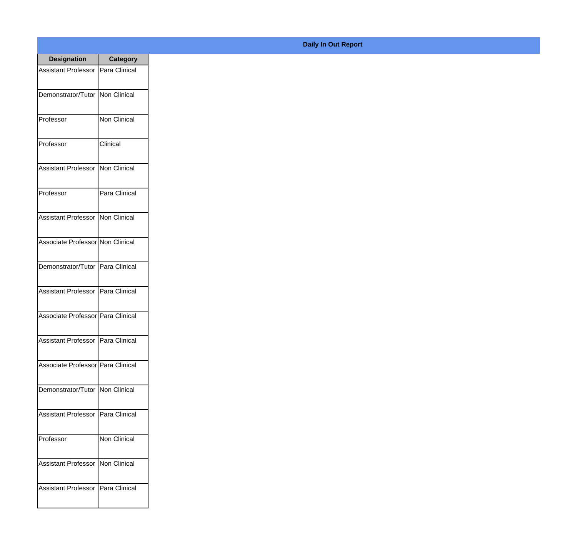| <b>Designation</b>                  | <b>Category</b> |
|-------------------------------------|-----------------|
| Assistant Professor   Para Clinical |                 |
| Demonstrator/Tutor   Non Clinical   |                 |
| Professor                           | Non Clinical    |
| Professor                           | Clinical        |
| <b>Assistant Professor</b>          | Non Clinical    |
| Professor                           | Para Clinical   |
| <b>Assistant Professor</b>          | Non Clinical    |
| Associate Professor Non Clinical    |                 |
| Demonstrator/Tutor   Para Clinical  |                 |
| <b>Assistant Professor</b>          | Para Clinical   |
| Associate Professor   Para Clinical |                 |
| Assistant Professor   Para Clinical |                 |
| Associate Professor Para Clinical   |                 |
| Demonstrator/Tutor   Non Clinical   |                 |
| <b>Assistant Professor</b>          | Para Clinical   |
| Professor                           | Non Clinical    |
| <b>Assistant Professor</b>          | Non Clinical    |
| Assistant Professor   Para Clinical |                 |

## **Daily In Out Report**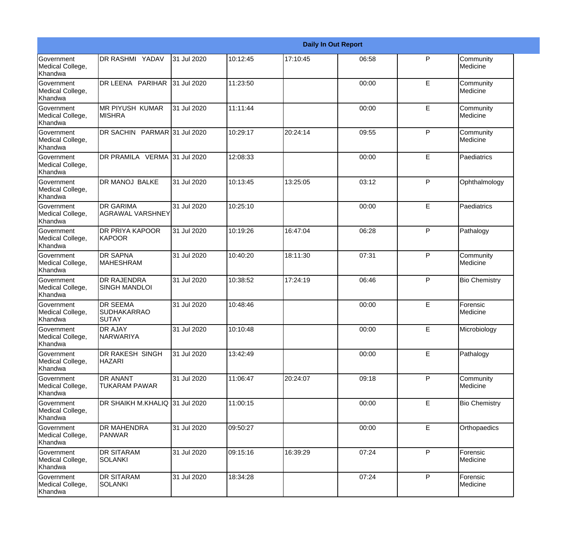|                                                         |                                                       |             |          |          | <b>Daily In Out Report</b> |              |                       |
|---------------------------------------------------------|-------------------------------------------------------|-------------|----------|----------|----------------------------|--------------|-----------------------|
| <b>Government</b><br>Medical College,<br>Khandwa        | DR RASHMI YADAV                                       | 31 Jul 2020 | 10:12:45 | 17:10:45 | 06:58                      | P            | Community<br>Medicine |
| Government<br>Medical College,<br>Khandwa               | DR LEENA PARIHAR                                      | 31 Jul 2020 | 11:23:50 |          | 00:00                      | E            | Community<br>Medicine |
| <b>Government</b><br>Medical College,<br>Khandwa        | <b>MR PIYUSH KUMAR</b><br><b>MISHRA</b>               | 31 Jul 2020 | 11:11:44 |          | 00:00                      | E            | Community<br>Medicine |
| <b>Government</b><br>Medical College,<br>Khandwa        | DR SACHIN PARMAR 31 Jul 2020                          |             | 10:29:17 | 20:24:14 | 09:55                      | P            | Community<br>Medicine |
| Government<br>Medical College,<br>Khandwa               | DR PRAMILA VERMA 31 Jul 2020                          |             | 12:08:33 |          | 00:00                      | E            | Paediatrics           |
| Government<br>Medical College,<br>Khandwa               | <b>DR MANOJ BALKE</b>                                 | 31 Jul 2020 | 10:13:45 | 13:25:05 | 03:12                      | $\mathsf{P}$ | Ophthalmology         |
| Government<br>Medical College,<br>Khandwa               | <b>DR GARIMA</b><br>AGRAWAL VARSHNEY                  | 31 Jul 2020 | 10:25:10 |          | 00:00                      | E            | Paediatrics           |
| Government<br>Medical College,<br>Khandwa               | DR PRIYA KAPOOR<br>KAPOOR                             | 31 Jul 2020 | 10:19:26 | 16:47:04 | 06:28                      | $\mathsf{P}$ | Pathalogy             |
| Government<br>Medical College,<br>Khandwa               | <b>DR SAPNA</b><br><b>MAHESHRAM</b>                   | 31 Jul 2020 | 10:40:20 | 18:11:30 | 07:31                      | P            | Community<br>Medicine |
| <b>Government</b><br>Medical College,<br>Khandwa        | <b>DR RAJENDRA</b><br><b>SINGH MANDLOI</b>            | 31 Jul 2020 | 10:38:52 | 17:24:19 | 06:46                      | P            | <b>Bio Chemistry</b>  |
| <b>Government</b><br>Medical College,<br><b>Khandwa</b> | <b>DR SEEMA</b><br><b>SUDHAKARRAO</b><br><b>SUTAY</b> | 31 Jul 2020 | 10:48:46 |          | 00:00                      | E            | Forensic<br>Medicine  |
| Government<br>Medical College,<br>Khandwa               | <b>DR AJAY</b><br><b>NARWARIYA</b>                    | 31 Jul 2020 | 10:10:48 |          | 00:00                      | E            | Microbiology          |
| Government<br>Medical College,<br>Khandwa               | DR RAKESH SINGH<br><b>HAZARI</b>                      | 31 Jul 2020 | 13:42:49 |          | 00:00                      | E            | Pathalogy             |
| Government<br>Medical College,<br>Khandwa               | <b>DR ANANT</b><br>TUKARAM PAWAR                      | 31 Jul 2020 | 11:06:47 | 20:24:07 | 09:18                      | $\mathsf{P}$ | Community<br>Medicine |
| Government<br>Medical College,<br>Khandwa               | DR SHAIKH M.KHALIQ 31 Jul 2020                        |             | 11:00:15 |          | 00:00                      | E            | <b>Bio Chemistry</b>  |
| Government<br>Medical College,<br>Khandwa               | <b>DR MAHENDRA</b><br>PANWAR                          | 31 Jul 2020 | 09:50:27 |          | 00:00                      | E            | Orthopaedics          |
| Government<br>Medical College,<br>Khandwa               | <b>DR SITARAM</b><br><b>SOLANKI</b>                   | 31 Jul 2020 | 09:15:16 | 16:39:29 | 07:24                      | $\mathsf{P}$ | Forensic<br>Medicine  |
| Government<br>Medical College,<br>Khandwa               | <b>DR SITARAM</b><br><b>SOLANKI</b>                   | 31 Jul 2020 | 18:34:28 |          | 07:24                      | $\mathsf{P}$ | Forensic<br>Medicine  |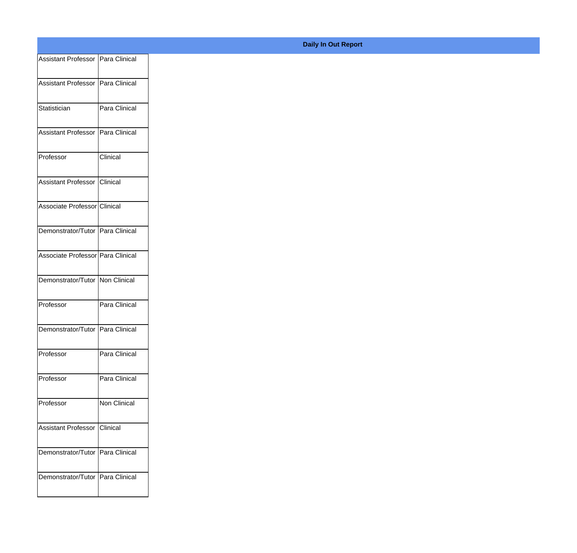| Assistant Professor Para Clinical  |               |
|------------------------------------|---------------|
| Assistant Professor Para Clinical  |               |
|                                    |               |
| Statistician                       | Para Clinical |
| Assistant Professor Para Clinical  |               |
|                                    |               |
| Professor                          | Clinical      |
| Assistant Professor Clinical       |               |
| Associate Professor Clinical       |               |
|                                    |               |
| Demonstrator/Tutor Para Clinical   |               |
| Associate Professor Para Clinical  |               |
|                                    |               |
| Demonstrator/Tutor Non Clinical    |               |
| Professor                          | Para Clinical |
| Demonstrator/Tutor Para Clinical   |               |
|                                    |               |
| Professor                          | Para Clinical |
| Professor                          | Para Clinical |
| Professor                          | Non Clinical  |
|                                    |               |
| Assistant Professor Clinical       |               |
| Demonstrator/Tutor Para Clinical   |               |
|                                    |               |
| Demonstrator/Tutor   Para Clinical |               |
|                                    |               |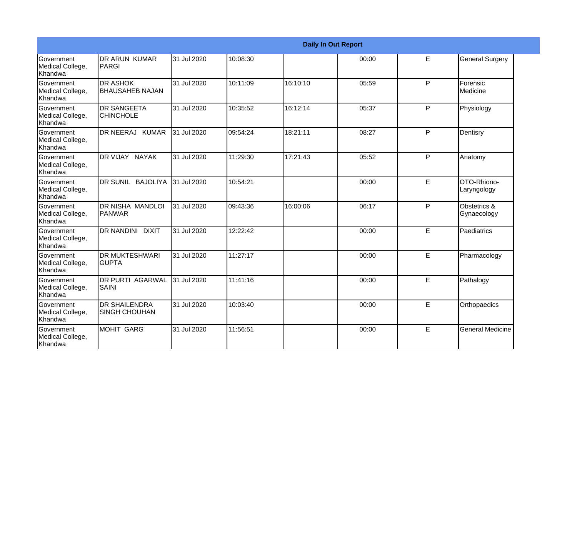|                                           |                                              |             |          |          | <b>Daily In Out Report</b> |   |                             |
|-------------------------------------------|----------------------------------------------|-------------|----------|----------|----------------------------|---|-----------------------------|
| Government<br>Medical College,<br>Khandwa | DR ARUN KUMAR<br>PARGI                       | 31 Jul 2020 | 10:08:30 |          | 00:00                      | E | <b>General Surgery</b>      |
| Government<br>Medical College,<br>Khandwa | <b>DR ASHOK</b><br><b>BHAUSAHEB NAJAN</b>    | 31 Jul 2020 | 10:11:09 | 16:10:10 | 05:59                      | P | Forensic<br>Medicine        |
| Government<br>Medical College,<br>Khandwa | <b>DR SANGEETA</b><br><b>CHINCHOLE</b>       | 31 Jul 2020 | 10:35:52 | 16:12:14 | 05:37                      | P | Physiology                  |
| Government<br>Medical College,<br>Khandwa | DR NEERAJ KUMAR                              | 31 Jul 2020 | 09:54:24 | 18:21:11 | 08:27                      | P | Dentisry                    |
| Government<br>Medical College,<br>Khandwa | DR VIJAY NAYAK                               | 31 Jul 2020 | 11:29:30 | 17:21:43 | 05:52                      | P | Anatomy                     |
| Government<br>Medical College,<br>Khandwa | IDR SUNIL BAJOLIYA                           | 31 Jul 2020 | 10:54:21 |          | 00:00                      | E | OTO-Rhiono-<br>Laryngology  |
| Government<br>Medical College,<br>Khandwa | IDR NISHA MANDLOI<br><b>PANWAR</b>           | 31 Jul 2020 | 09:43:36 | 16:00:06 | 06:17                      | P | Obstetrics &<br>Gynaecology |
| Government<br>Medical College,<br>Khandwa | DR NANDINI DIXIT                             | 31 Jul 2020 | 12:22:42 |          | 00:00                      | E | Paediatrics                 |
| Government<br>Medical College,<br>Khandwa | <b>DR MUKTESHWARI</b><br><b>GUPTA</b>        | 31 Jul 2020 | 11:27:17 |          | 00:00                      | E | Pharmacology                |
| Government<br>Medical College,<br>Khandwa | <b>DR PURTI AGARWAL</b><br>SAINI             | 31 Jul 2020 | 11:41:16 |          | 00:00                      | E | Pathalogy                   |
| Government<br>Medical College,<br>Khandwa | <b>DR SHAILENDRA</b><br><b>SINGH CHOUHAN</b> | 31 Jul 2020 | 10:03:40 |          | 00:00                      | E | Orthopaedics                |
| Government<br>Medical College,<br>Khandwa | MOHIT GARG                                   | 31 Jul 2020 | 11:56:51 |          | 00:00                      | E | <b>General Medicine</b>     |